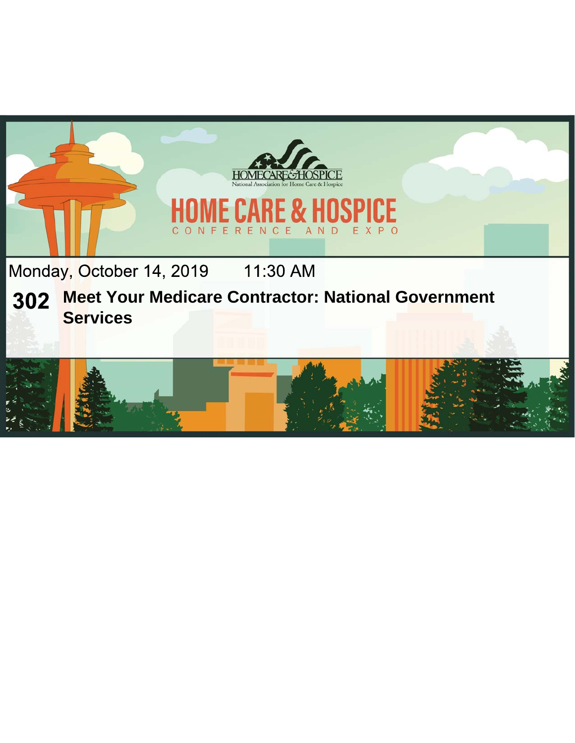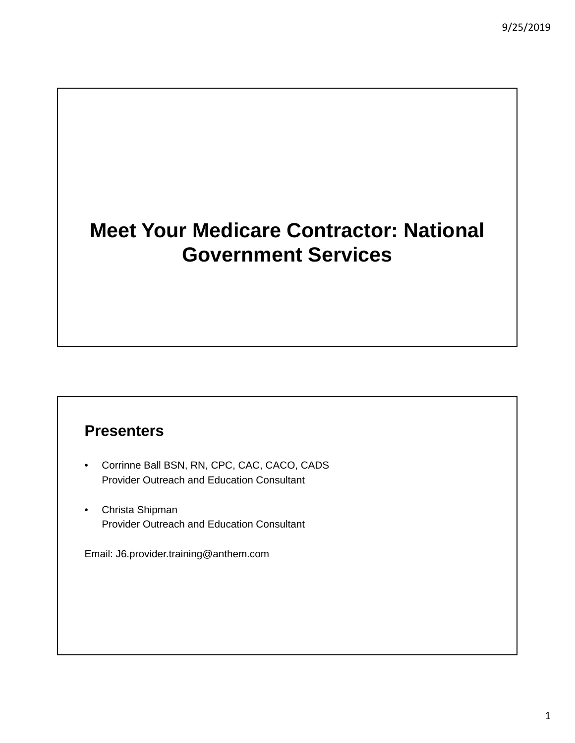# **Meet Your Medicare Contractor: National Government Services**

#### **Presenters**

- Corrinne Ball BSN, RN, CPC, CAC, CACO, CADS Provider Outreach and Education Consultant
- Christa Shipman Provider Outreach and Education Consultant

Email: J6.provider.training@anthem.com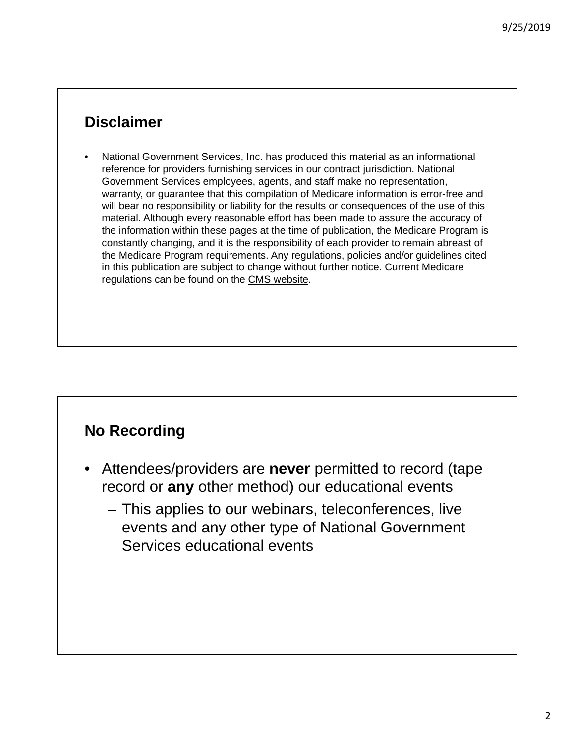#### **Disclaimer**

• National Government Services, Inc. has produced this material as an informational reference for providers furnishing services in our contract jurisdiction. National Government Services employees, agents, and staff make no representation, warranty, or guarantee that this compilation of Medicare information is error-free and will bear no responsibility or liability for the results or consequences of the use of this material. Although every reasonable effort has been made to assure the accuracy of the information within these pages at the time of publication, the Medicare Program is constantly changing, and it is the responsibility of each provider to remain abreast of the Medicare Program requirements. Any regulations, policies and/or guidelines cited in this publication are subject to change without further notice. Current Medicare regulations can be found on the CMS website.

# **No Recording**

- Attendees/providers are **never** permitted to record (tape record or **any** other method) our educational events
	- This applies to our webinars, teleconferences, live events and any other type of National Government Services educational events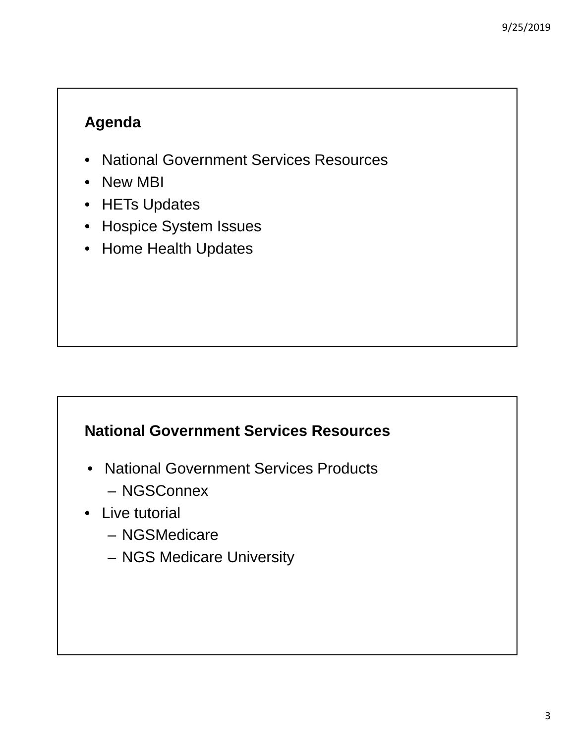# **Agenda**

- National Government Services Resources
- New MBI
- HETs Updates
- Hospice System Issues
- Home Health Updates

# **National Government Services Resources**

- National Government Services Products
	- NGSConnex
- Live tutorial
	- NGSMedicare
	- NGS Medicare University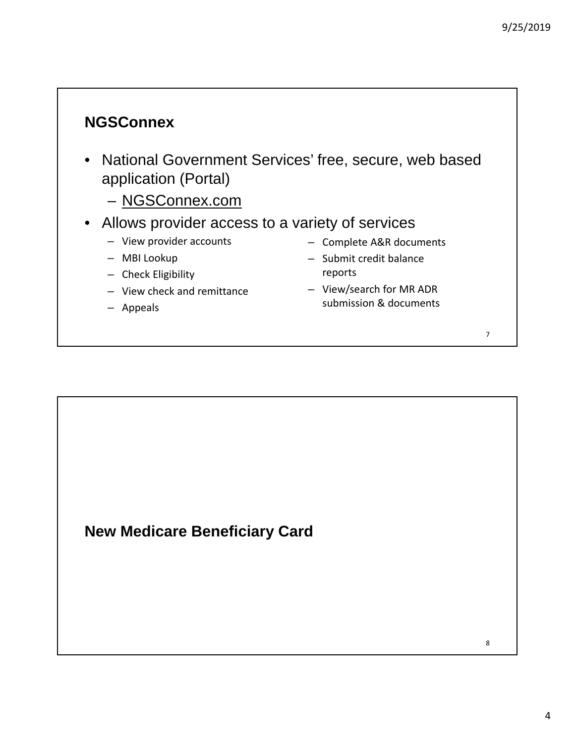#### **NGSConnex**

- National Government Services' free, secure, web based application (Portal)
	- NGSConnex.com
- Allows provider access to a variety of services
	- View provider accounts
	- MBI Lookup
	- Check Eligibility
	- View check and remittance
	- Appeals
- Complete A&R documents
- Submit credit balance reports
- View/search for MR ADR submission & documents

7

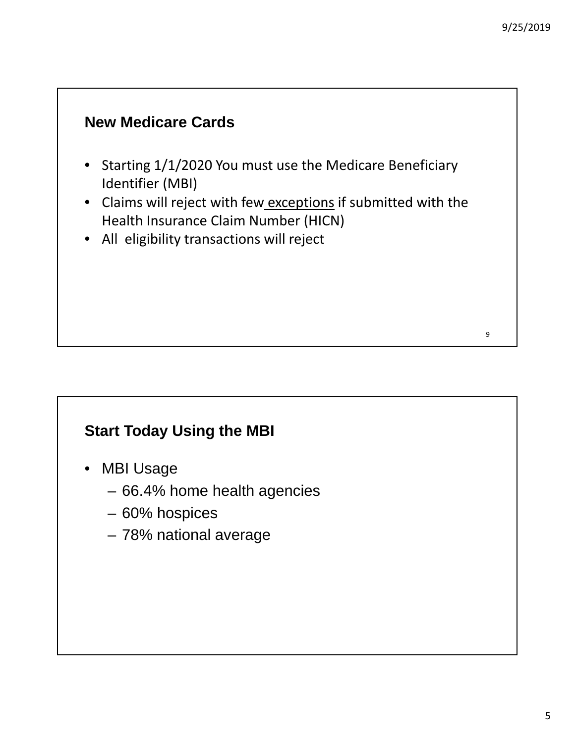9

# **New Medicare Cards**

- Starting 1/1/2020 You must use the Medicare Beneficiary Identifier (MBI)
- Claims will reject with few exceptions if submitted with the Health Insurance Claim Number (HICN)
- All eligibility transactions will reject

# **Start Today Using the MBI**

- MBI Usage
	- 66.4% home health agencies
	- 60% hospices
	- 78% national average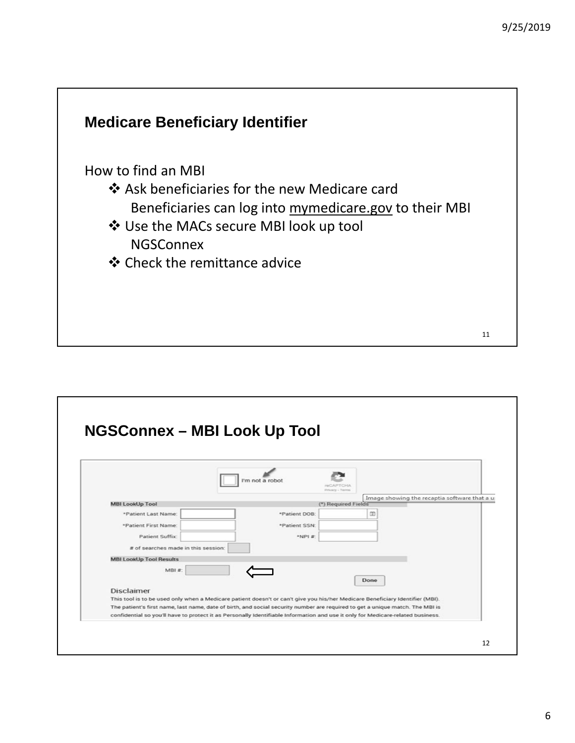

| <b>NGSConnex - MBI Look Up Tool</b>                                                                                             |                 |                                               |
|---------------------------------------------------------------------------------------------------------------------------------|-----------------|-----------------------------------------------|
|                                                                                                                                 |                 |                                               |
|                                                                                                                                 |                 |                                               |
|                                                                                                                                 |                 |                                               |
|                                                                                                                                 | I'm not a robot |                                               |
|                                                                                                                                 | Privacy - Terms |                                               |
|                                                                                                                                 |                 | Image showing the recaptia software that a u- |
| <b>MBI LookUp Tool</b>                                                                                                          |                 | (*) Required Fields                           |
| *Patient Last Name:                                                                                                             | *Patient DOB:   | œ                                             |
| *Patient First Name:                                                                                                            | *Patient SSN:   |                                               |
| <b>Patient Suffix:</b>                                                                                                          | $*NP1E$         |                                               |
|                                                                                                                                 |                 |                                               |
| # of searches made in this session:                                                                                             |                 |                                               |
| <b>MBI LookUp Tool Results</b>                                                                                                  |                 |                                               |
| $MBI$ #                                                                                                                         |                 |                                               |
|                                                                                                                                 |                 | Done                                          |
| <b>Disclaimer</b>                                                                                                               |                 |                                               |
| This tool is to be used only when a Medicare patient doesn't or can't give you his/her Medicare Beneficiary Identifier (MBI).   |                 |                                               |
| The patient's first name, last name, date of birth, and social security number are required to get a unique match. The MBI is   |                 |                                               |
| confidential so you'll have to protect it as Personally Identifiable Information and use it only for Medicare-related business. |                 |                                               |
|                                                                                                                                 |                 |                                               |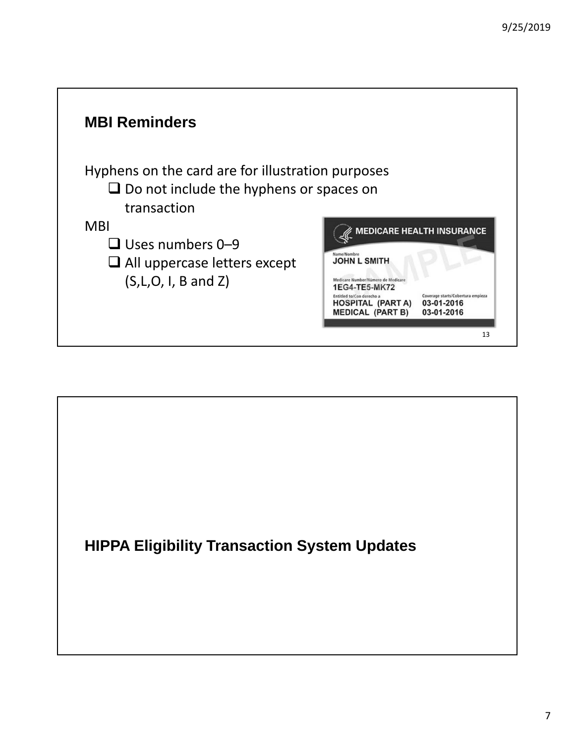

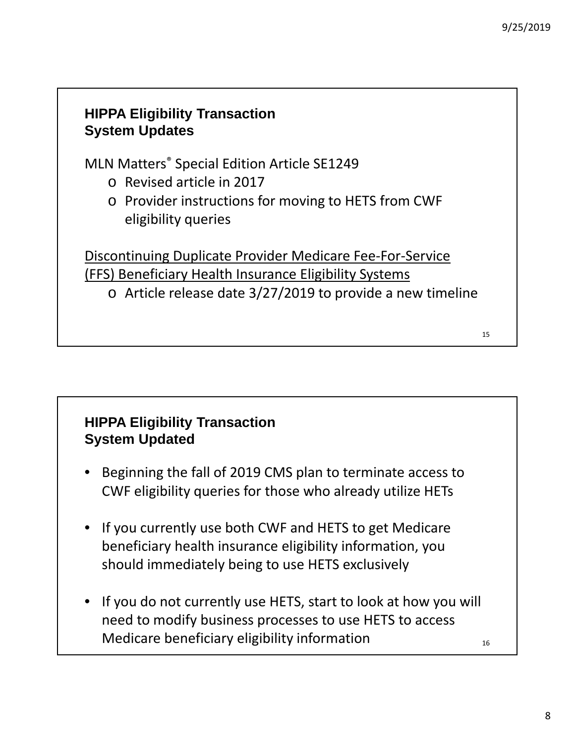#### **HIPPA Eligibility Transaction System Updates**

MLN Matters® Special Edition Article SE1249

- o Revised article in 2017
- o Provider instructions for moving to HETS from CWF eligibility queries

Discontinuing Duplicate Provider Medicare Fee‐For‐Service (FFS) Beneficiary Health Insurance Eligibility Systems

o Article release date 3/27/2019 to provide a new timeline

#### **HIPPA Eligibility Transaction System Updated**

- Beginning the fall of 2019 CMS plan to terminate access to CWF eligibility queries for those who already utilize HETs
- If you currently use both CWF and HETS to get Medicare beneficiary health insurance eligibility information, you should immediately being to use HETS exclusively
- 16 • If you do not currently use HETS, start to look at how you will need to modify business processes to use HETS to access Medicare beneficiary eligibility information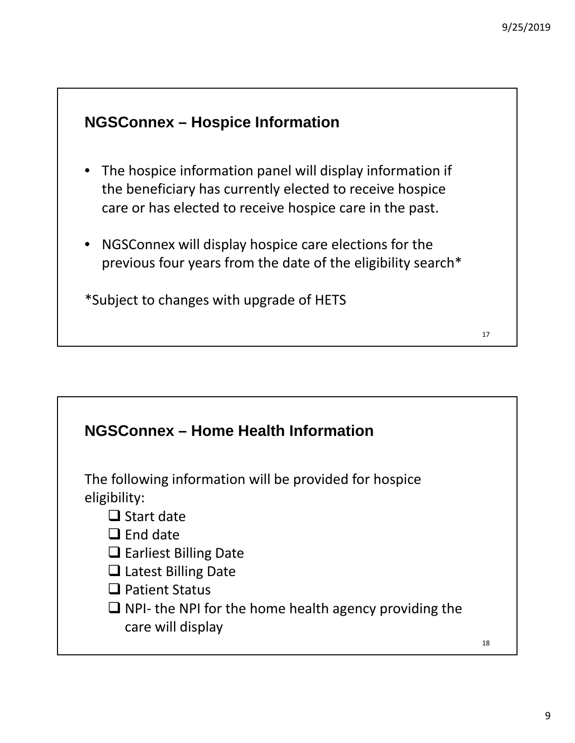17

#### **NGSConnex – Hospice Information**

- The hospice information panel will display information if the beneficiary has currently elected to receive hospice care or has elected to receive hospice care in the past.
- NGSConnex will display hospice care elections for the previous four years from the date of the eligibility search\*

\*Subject to changes with upgrade of HETS

# **NGSConnex – Home Health Information** 18 The following information will be provided for hospice eligibility:  $\Box$  Start date  $\Box$  End date  $\Box$  Earliest Billing Date □ Latest Billing Date  $\Box$  Patient Status  $\Box$  NPI- the NPI for the home health agency providing the care will display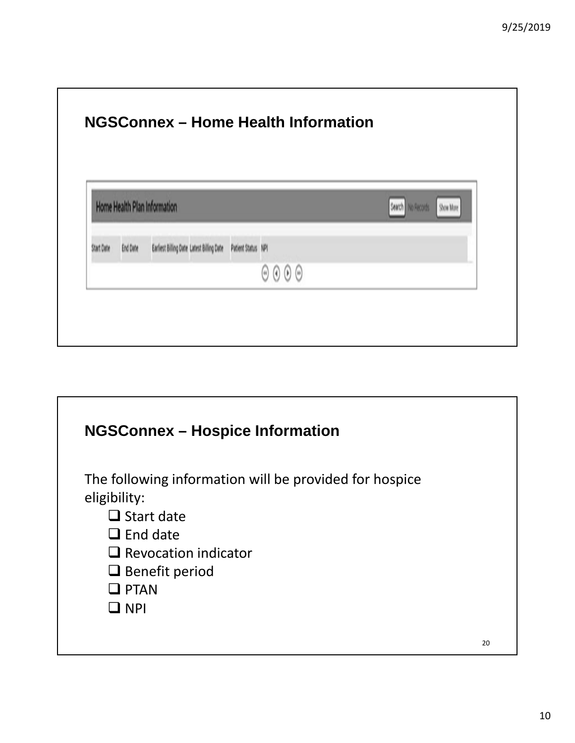| Home Health Plan Information |          |                                           |                    | Search<br>No Records                                        | Show More |  |
|------------------------------|----------|-------------------------------------------|--------------------|-------------------------------------------------------------|-----------|--|
| Start Date                   | End Date | Earliest Billing Date Latest Billing Date | Patient Status NPI |                                                             |           |  |
|                              |          |                                           |                    | $\Theta$<br>$\left( 0 \right)$<br>$\mathcal{A}(\mathbf{0})$ |           |  |

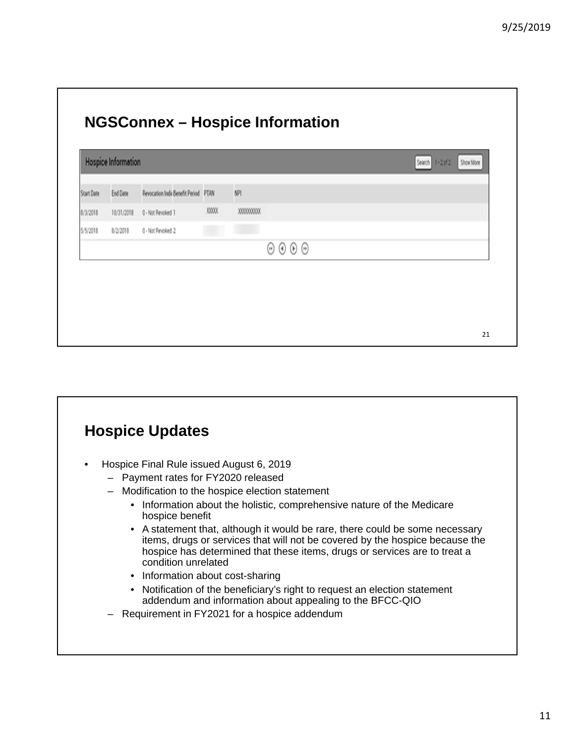|            | <b>Hospice Information</b> |                                      | Search<br>$1 - 2012$<br>Show More |                                                         |  |
|------------|----------------------------|--------------------------------------|-----------------------------------|---------------------------------------------------------|--|
| Start Date | End Date                   | Revocation Indix Benefit Period PTAN |                                   | <b>NPI</b>                                              |  |
| 8/3/2018   | 10/31/2018                 | 0 - Not Revoked 1                    | XXXX                              | XXXXXXXXX                                               |  |
| 5/5/2018   | 8/2/2018                   | 0 - Not Revoked 2                    |                                   |                                                         |  |
|            |                            |                                      |                                   | $(\ast) (\ast)$<br>$\bullet$<br>$\left( \omega \right)$ |  |

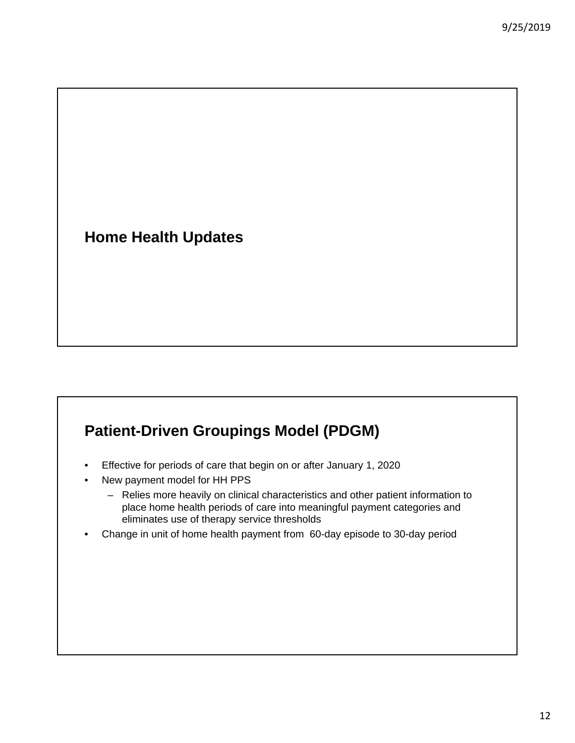**Home Health Updates**

#### **Patient-Driven Groupings Model (PDGM)**

- Effective for periods of care that begin on or after January 1, 2020
- New payment model for HH PPS
	- Relies more heavily on clinical characteristics and other patient information to place home health periods of care into meaningful payment categories and eliminates use of therapy service thresholds
- Change in unit of home health payment from 60-day episode to 30-day period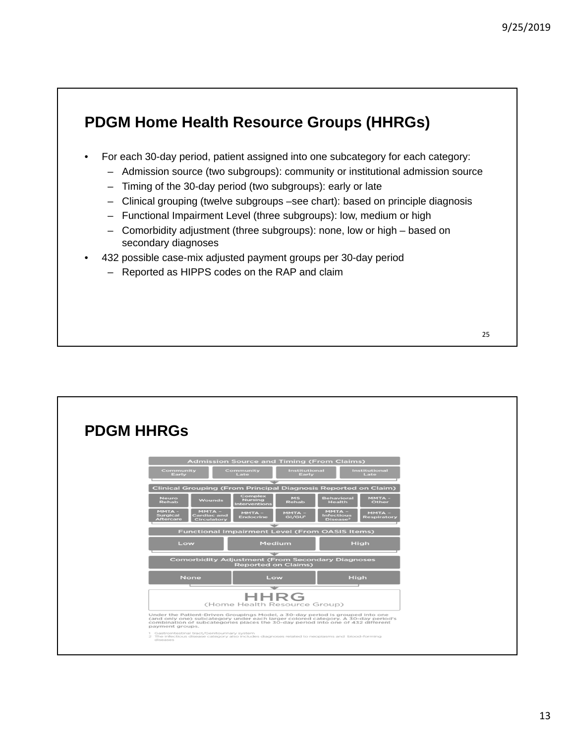#### **PDGM Home Health Resource Groups (HHRGs)**

- For each 30-day period, patient assigned into one subcategory for each category:
	- Admission source (two subgroups): community or institutional admission source
	- Timing of the 30-day period (two subgroups): early or late
	- Clinical grouping (twelve subgroups –see chart): based on principle diagnosis
	- Functional Impairment Level (three subgroups): low, medium or high
	- Comorbidity adjustment (three subgroups): none, low or high based on secondary diagnoses
- 432 possible case-mix adjusted payment groups per 30-day period
	- Reported as HIPPS codes on the RAP and claim

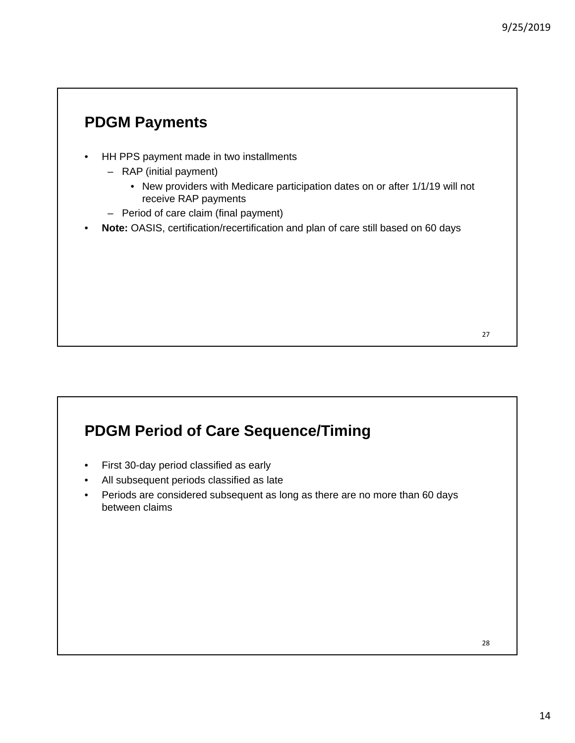#### **PDGM Payments**

- HH PPS payment made in two installments
	- RAP (initial payment)
		- New providers with Medicare participation dates on or after 1/1/19 will not receive RAP payments
	- Period of care claim (final payment)
- **Note:** OASIS, certification/recertification and plan of care still based on 60 days

#### **PDGM Period of Care Sequence/Timing**

- First 30-day period classified as early
- All subsequent periods classified as late
- Periods are considered subsequent as long as there are no more than 60 days between claims

28

27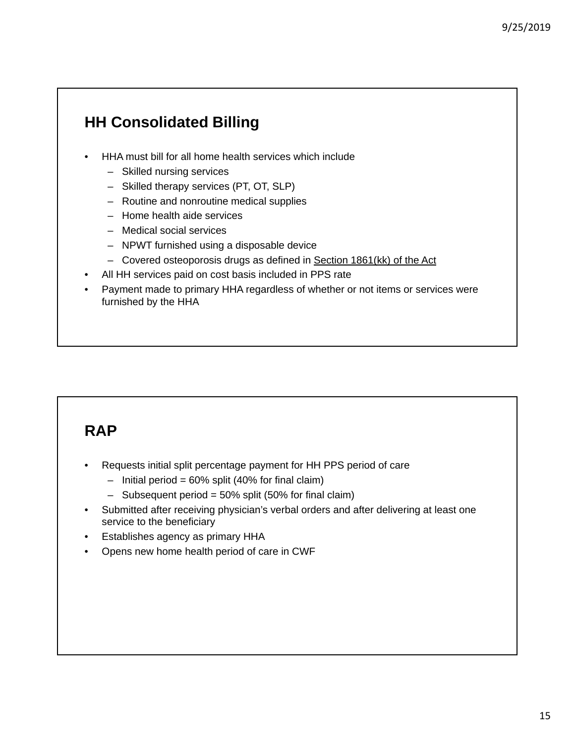# **HH Consolidated Billing**

- HHA must bill for all home health services which include
	- Skilled nursing services
	- Skilled therapy services (PT, OT, SLP)
	- Routine and nonroutine medical supplies
	- Home health aide services
	- Medical social services
	- NPWT furnished using a disposable device
	- Covered osteoporosis drugs as defined in Section 1861(kk) of the Act
- All HH services paid on cost basis included in PPS rate
- Payment made to primary HHA regardless of whether or not items or services were furnished by the HHA

#### **RAP**

- Requests initial split percentage payment for HH PPS period of care
	- $-$  Initial period = 60% split (40% for final claim)
	- Subsequent period = 50% split (50% for final claim)
- Submitted after receiving physician's verbal orders and after delivering at least one service to the beneficiary
- Establishes agency as primary HHA
- Opens new home health period of care in CWF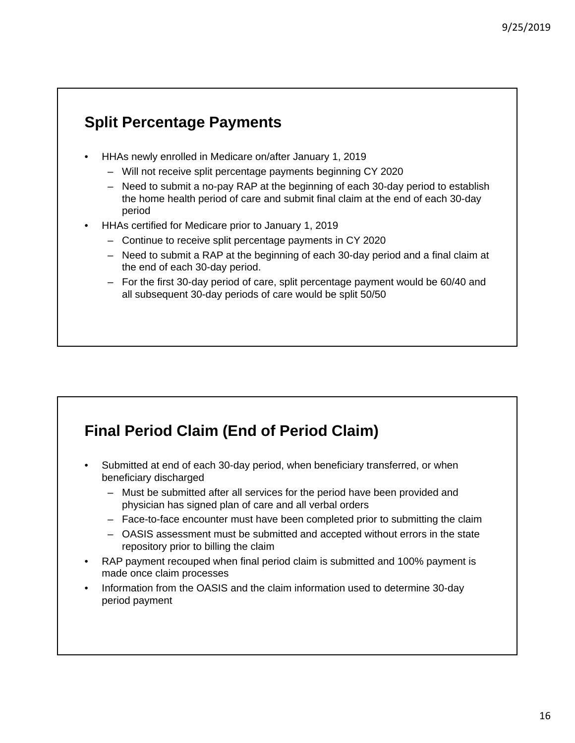#### **Split Percentage Payments**

- HHAs newly enrolled in Medicare on/after January 1, 2019
	- Will not receive split percentage payments beginning CY 2020
	- Need to submit a no-pay RAP at the beginning of each 30-day period to establish the home health period of care and submit final claim at the end of each 30-day period
- HHAs certified for Medicare prior to January 1, 2019
	- Continue to receive split percentage payments in CY 2020
	- Need to submit a RAP at the beginning of each 30-day period and a final claim at the end of each 30-day period.
	- For the first 30-day period of care, split percentage payment would be 60/40 and all subsequent 30-day periods of care would be split 50/50

#### **Final Period Claim (End of Period Claim)**

- Submitted at end of each 30-day period, when beneficiary transferred, or when beneficiary discharged
	- Must be submitted after all services for the period have been provided and physician has signed plan of care and all verbal orders
	- Face-to-face encounter must have been completed prior to submitting the claim
	- OASIS assessment must be submitted and accepted without errors in the state repository prior to billing the claim
- RAP payment recouped when final period claim is submitted and 100% payment is made once claim processes
- Information from the OASIS and the claim information used to determine 30-day period payment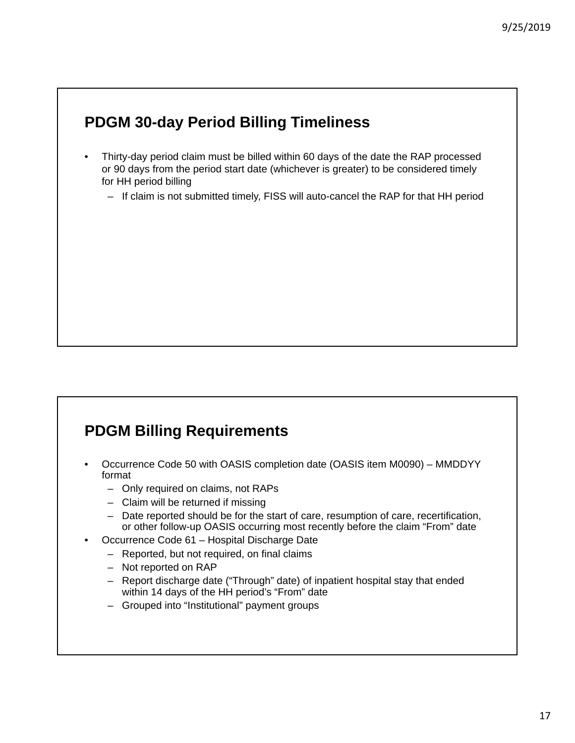#### **PDGM 30-day Period Billing Timeliness**

- Thirty-day period claim must be billed within 60 days of the date the RAP processed or 90 days from the period start date (whichever is greater) to be considered timely for HH period billing
	- If claim is not submitted timely, FISS will auto-cancel the RAP for that HH period

#### **PDGM Billing Requirements**

- Occurrence Code 50 with OASIS completion date (OASIS item M0090) MMDDYY format
	- Only required on claims, not RAPs
	- Claim will be returned if missing
	- Date reported should be for the start of care, resumption of care, recertification, or other follow-up OASIS occurring most recently before the claim "From" date
- Occurrence Code 61 Hospital Discharge Date
	- Reported, but not required, on final claims
	- Not reported on RAP
	- Report discharge date ("Through" date) of inpatient hospital stay that ended within 14 days of the HH period's "From" date
	- Grouped into "Institutional" payment groups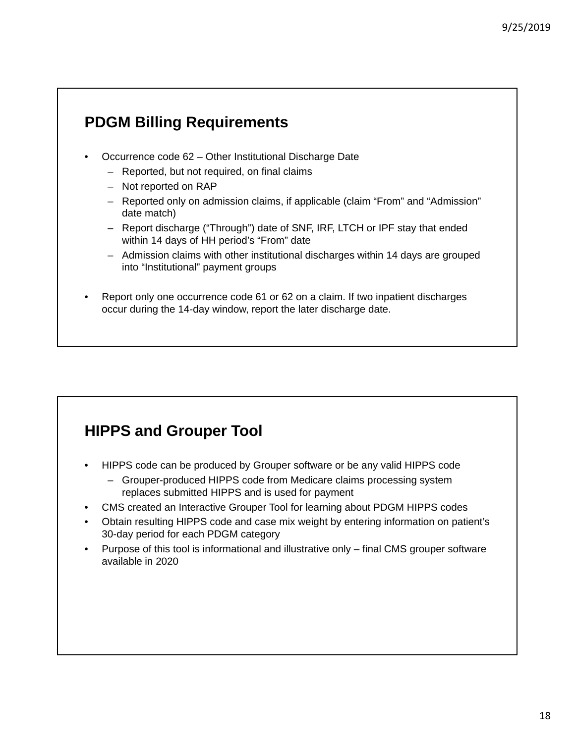#### **PDGM Billing Requirements**

- Occurrence code 62 Other Institutional Discharge Date
	- Reported, but not required, on final claims
	- Not reported on RAP
	- Reported only on admission claims, if applicable (claim "From" and "Admission" date match)
	- Report discharge ("Through") date of SNF, IRF, LTCH or IPF stay that ended within 14 days of HH period's "From" date
	- Admission claims with other institutional discharges within 14 days are grouped into "Institutional" payment groups
- Report only one occurrence code 61 or 62 on a claim. If two inpatient discharges occur during the 14-day window, report the later discharge date.

# **HIPPS and Grouper Tool**

- HIPPS code can be produced by Grouper software or be any valid HIPPS code
	- Grouper-produced HIPPS code from Medicare claims processing system replaces submitted HIPPS and is used for payment
- CMS created an Interactive Grouper Tool for learning about PDGM HIPPS codes
- Obtain resulting HIPPS code and case mix weight by entering information on patient's 30-day period for each PDGM category
- Purpose of this tool is informational and illustrative only final CMS grouper software available in 2020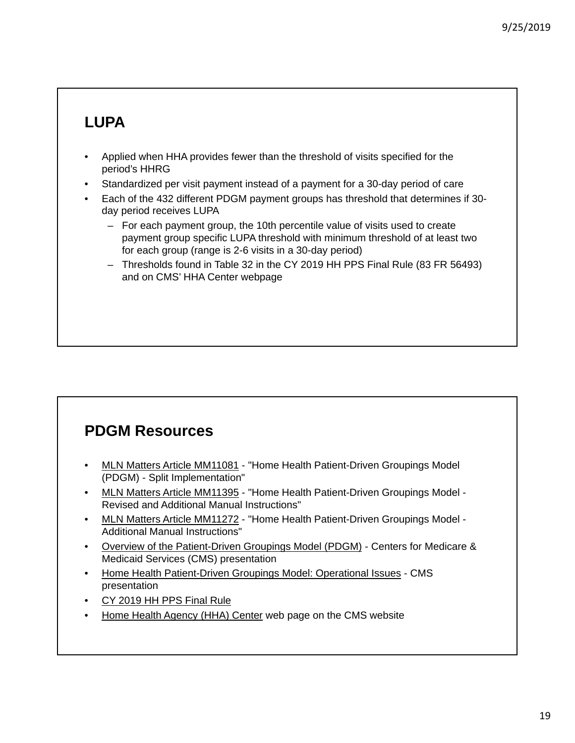# **LUPA**

- Applied when HHA provides fewer than the threshold of visits specified for the period's HHRG
- Standardized per visit payment instead of a payment for a 30-day period of care
- Each of the 432 different PDGM payment groups has threshold that determines if 30 day period receives LUPA
	- For each payment group, the 10th percentile value of visits used to create payment group specific LUPA threshold with minimum threshold of at least two for each group (range is 2-6 visits in a 30-day period)
	- Thresholds found in Table 32 in the CY 2019 HH PPS Final Rule (83 FR 56493) and on CMS' HHA Center webpage

#### **PDGM Resources**

- MLN Matters Article MM11081 "Home Health Patient-Driven Groupings Model (PDGM) - Split Implementation"
- MLN Matters Article MM11395 "Home Health Patient-Driven Groupings Model Revised and Additional Manual Instructions"
- MLN Matters Article MM11272 "Home Health Patient-Driven Groupings Model -Additional Manual Instructions"
- Overview of the Patient-Driven Groupings Model (PDGM) Centers for Medicare & Medicaid Services (CMS) presentation
- Home Health Patient-Driven Groupings Model: Operational Issues CMS presentation
- CY 2019 HH PPS Final Rule
- Home Health Agency (HHA) Center web page on the CMS website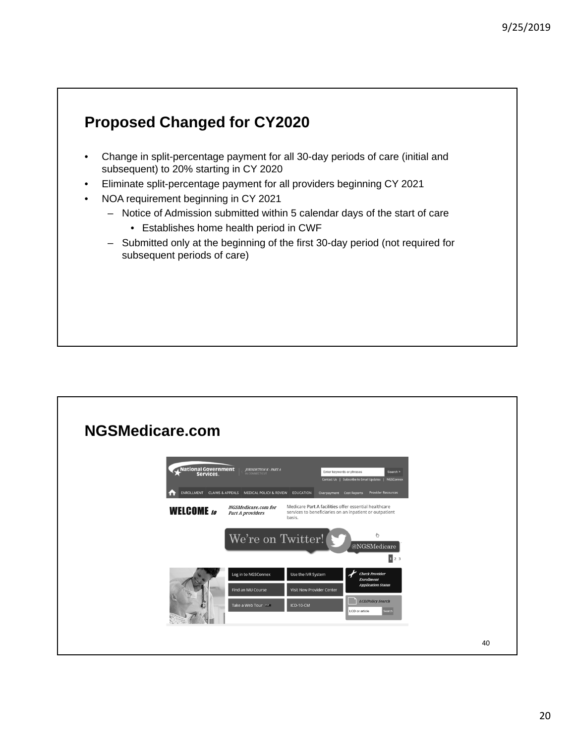#### **Proposed Changed for CY2020**

- Change in split-percentage payment for all 30-day periods of care (initial and subsequent) to 20% starting in CY 2020
- Eliminate split-percentage payment for all providers beginning CY 2021
- NOA requirement beginning in CY 2021
	- Notice of Admission submitted within 5 calendar days of the start of care
		- Establishes home health period in CWF
	- Submitted only at the beginning of the first 30-day period (not required for subsequent periods of care)

#### **NGSMedicare.com**

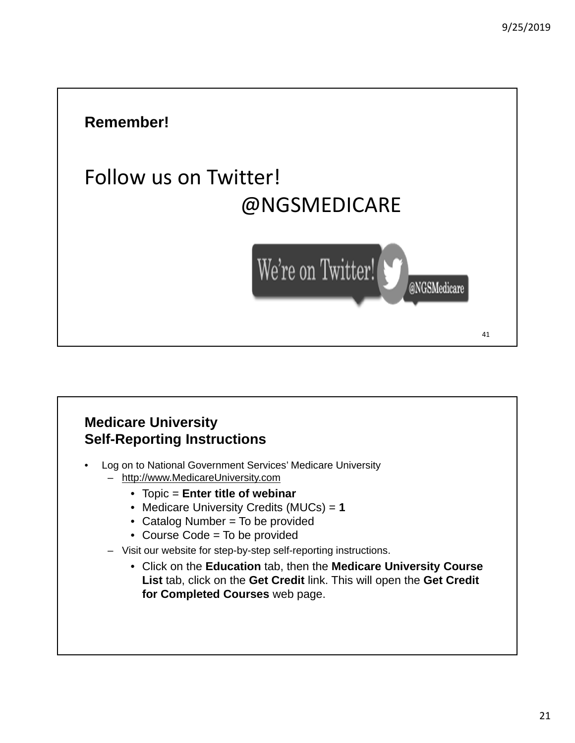# **Remember!** Follow us on Twitter! @NGSMEDICARE We're on Twitter! @NGSMedicare 41

#### **Medicare University Self-Reporting Instructions**

- Log on to National Government Services' Medicare University – http://www.MedicareUniversity.com
	- Topic = **Enter title of webinar**
	- Medicare University Credits (MUCs) = **1**
	- Catalog Number = To be provided
	- Course Code = To be provided
	- Visit our website for step-by-step self-reporting instructions.
		- Click on the **Education** tab, then the **Medicare University Course List** tab, click on the **Get Credit** link. This will open the **Get Credit for Completed Courses** web page.